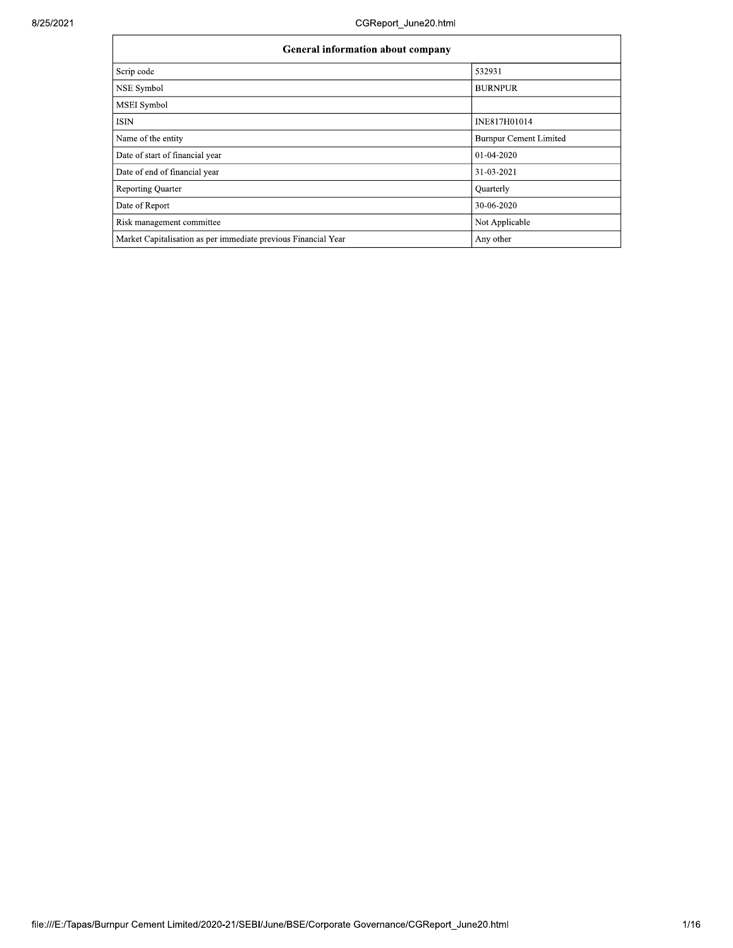| <b>General information about company</b>                       |                               |  |  |  |  |  |  |
|----------------------------------------------------------------|-------------------------------|--|--|--|--|--|--|
| Scrip code                                                     | 532931                        |  |  |  |  |  |  |
| NSE Symbol                                                     | <b>BURNPUR</b>                |  |  |  |  |  |  |
| <b>MSEI</b> Symbol                                             |                               |  |  |  |  |  |  |
| ISIN                                                           | INE817H01014                  |  |  |  |  |  |  |
| Name of the entity                                             | <b>Burnpur Cement Limited</b> |  |  |  |  |  |  |
| Date of start of financial year                                | 01-04-2020                    |  |  |  |  |  |  |
| Date of end of financial year                                  | 31-03-2021                    |  |  |  |  |  |  |
| <b>Reporting Quarter</b>                                       | Quarterly                     |  |  |  |  |  |  |
| Date of Report                                                 | 30-06-2020                    |  |  |  |  |  |  |
| Risk management committee                                      | Not Applicable                |  |  |  |  |  |  |
| Market Capitalisation as per immediate previous Financial Year | Any other                     |  |  |  |  |  |  |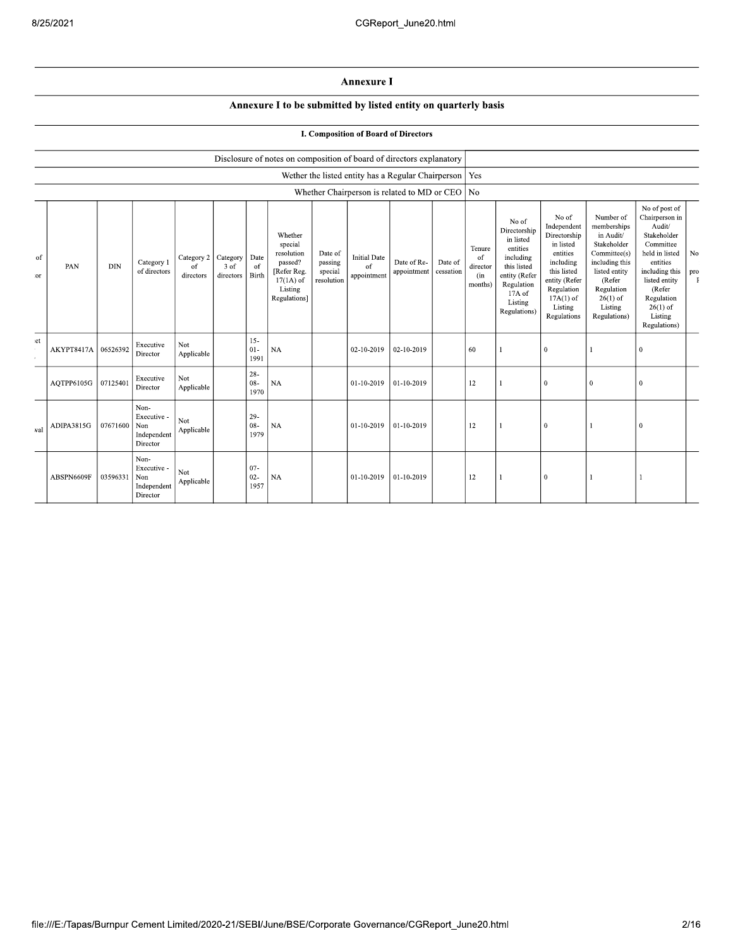## Annexure I

## Annexure I to be submitted by listed entity on quarterly basis

|  |  |  | I. Composition of Board of Directors |
|--|--|--|--------------------------------------|
|  |  |  |                                      |

|           |            |            |                                                       |                               |                               |                          | Disclosure of notes on composition of board of directors explanatory                                 |                                             |                                                          |                            |                      |                                            |                                                                                                                                                |                                                                                                                                                                   |                                                                                                                                                                          |                                                                                                                                                                                                         |           |
|-----------|------------|------------|-------------------------------------------------------|-------------------------------|-------------------------------|--------------------------|------------------------------------------------------------------------------------------------------|---------------------------------------------|----------------------------------------------------------|----------------------------|----------------------|--------------------------------------------|------------------------------------------------------------------------------------------------------------------------------------------------|-------------------------------------------------------------------------------------------------------------------------------------------------------------------|--------------------------------------------------------------------------------------------------------------------------------------------------------------------------|---------------------------------------------------------------------------------------------------------------------------------------------------------------------------------------------------------|-----------|
|           |            |            |                                                       |                               |                               |                          |                                                                                                      |                                             | Wether the listed entity has a Regular Chairperson   Yes |                            |                      |                                            |                                                                                                                                                |                                                                                                                                                                   |                                                                                                                                                                          |                                                                                                                                                                                                         |           |
|           |            |            |                                                       |                               |                               |                          |                                                                                                      |                                             | Whether Chairperson is related to MD or CEO   No         |                            |                      |                                            |                                                                                                                                                |                                                                                                                                                                   |                                                                                                                                                                          |                                                                                                                                                                                                         |           |
| of<br>:or | PAN        | <b>DIN</b> | Category 1<br>of directors                            | Category 2<br>of<br>directors | Category<br>3 of<br>directors | Date<br>of<br>Birth      | Whether<br>special<br>resolution<br>passed?<br>[Refer Reg.<br>$17(1A)$ of<br>Listing<br>Regulations] | Date of<br>passing<br>special<br>resolution | <b>Initial Date</b><br>of<br>appointment                 | Date of Re-<br>appointment | Date of<br>cessation | Tenure<br>of<br>director<br>(in<br>months) | No of<br>Directorship<br>in listed<br>entities<br>including<br>this listed<br>entity (Refer<br>Regulation<br>17A of<br>Listing<br>Regulations) | No of<br>Independent<br>Directorship<br>in listed<br>entities<br>including<br>this listed<br>entity (Refer<br>Regulation<br>$17A(1)$ of<br>Listing<br>Regulations | Number of<br>memberships<br>in Audit/<br>Stakeholder<br>Committee(s)<br>including this<br>listed entity<br>(Refer<br>Regulation<br>$26(1)$ of<br>Listing<br>Regulations) | No of post of<br>Chairperson in<br>Audit/<br>Stakeholder<br>Committee<br>held in listed<br>entities<br>including this<br>listed entity<br>(Refer<br>Regulation<br>$26(1)$ of<br>Listing<br>Regulations) | No<br>pro |
| et        | AKYPT8417A | 06526392   | Executive<br>Director                                 | Not<br>Applicable             |                               | $15 -$<br>$01 -$<br>1991 | <b>NA</b>                                                                                            |                                             | 02-10-2019                                               | 02-10-2019                 |                      | 60                                         |                                                                                                                                                | $\mathbf{0}$                                                                                                                                                      |                                                                                                                                                                          | $\overline{0}$                                                                                                                                                                                          |           |
|           | AQTPP6105G | 07125401   | Executive<br>Director                                 | Not<br>Applicable             |                               | $28 -$<br>$08 -$<br>1970 | <b>NA</b>                                                                                            |                                             | 01-10-2019                                               | 01-10-2019                 |                      | 12                                         |                                                                                                                                                | $\mathbf{0}$                                                                                                                                                      | $\mathbf{0}$                                                                                                                                                             | $\mathbf{0}$                                                                                                                                                                                            |           |
| val       | ADIPA3815G | 07671600   | Non-<br>Executive -<br>Non<br>Independent<br>Director | Not<br>Applicable             |                               | $29-$<br>$08 -$<br>1979  | <b>NA</b>                                                                                            |                                             | 01-10-2019                                               | 01-10-2019                 |                      | 12                                         |                                                                                                                                                | $\mathbf{0}$                                                                                                                                                      |                                                                                                                                                                          | $\mathbf{0}$                                                                                                                                                                                            |           |
|           | ABSPN6609F | 03596331   | Non-<br>Executive -<br>Non<br>Independent<br>Director | Not<br>Applicable             |                               | $07 -$<br>$02 -$<br>1957 | <b>NA</b>                                                                                            |                                             | 01-10-2019                                               | 01-10-2019                 |                      | 12                                         |                                                                                                                                                | 0                                                                                                                                                                 |                                                                                                                                                                          |                                                                                                                                                                                                         |           |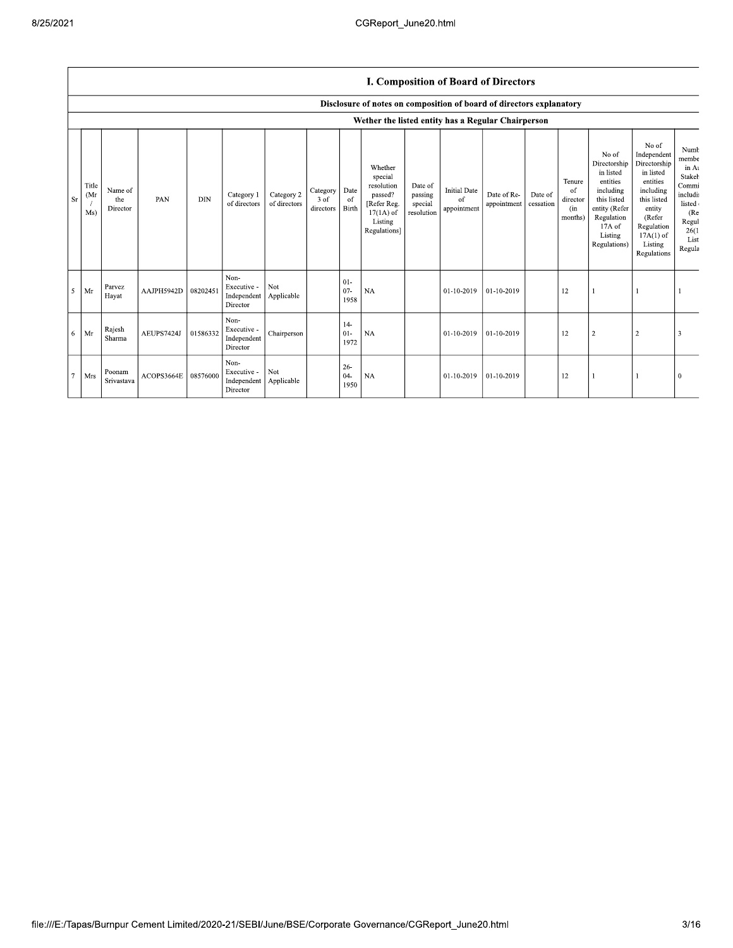## I. Composition of Board of Directors

|           |                     |                            |            |            |                                                |                            |                               |                          | Disclosure of notes on composition of board of directors explanatory                                 |                                             |                                          |                            |                      |                                            |                                                                                                                                                  |                                                                                                                                                                      |                                                                                                           |
|-----------|---------------------|----------------------------|------------|------------|------------------------------------------------|----------------------------|-------------------------------|--------------------------|------------------------------------------------------------------------------------------------------|---------------------------------------------|------------------------------------------|----------------------------|----------------------|--------------------------------------------|--------------------------------------------------------------------------------------------------------------------------------------------------|----------------------------------------------------------------------------------------------------------------------------------------------------------------------|-----------------------------------------------------------------------------------------------------------|
|           |                     |                            |            |            |                                                |                            |                               |                          | Wether the listed entity has a Regular Chairperson                                                   |                                             |                                          |                            |                      |                                            |                                                                                                                                                  |                                                                                                                                                                      |                                                                                                           |
| <b>Sr</b> | Title<br>(Mr<br>Ms) | Name of<br>the<br>Director | PAN        | <b>DIN</b> | Category 1<br>of directors                     | Category 2<br>of directors | Category<br>3 of<br>directors | Date<br>-of<br>Birth     | Whether<br>special<br>resolution<br>passed?<br>[Refer Reg.<br>$17(1A)$ of<br>Listing<br>Regulations] | Date of<br>passing<br>special<br>resolution | <b>Initial Date</b><br>of<br>appointment | Date of Re-<br>appointment | Date of<br>cessation | Tenure<br>of<br>director<br>(in<br>months) | No of<br>Directorship<br>in listed<br>entities<br>including<br>this listed<br>entity (Refer<br>Regulation<br>$17A$ of<br>Listing<br>Regulations) | No of<br>Independent<br>Directorship<br>in listed<br>entities<br>including<br>this listed<br>entity<br>(Refer<br>Regulation<br>$17A(1)$ of<br>Listing<br>Regulations | Numb<br>membe<br>in At<br>Stakeh<br>Commi<br>includi<br>listed<br>(Re<br>Regul<br>26(1)<br>List<br>Regula |
| 5         | Mr                  | Parvez<br>Hayat            | AAJPH5942D | 08202451   | Non-<br>Executive -<br>Independent<br>Director | Not<br>Applicable          |                               | $01 -$<br>$07 -$<br>1958 | NA                                                                                                   |                                             | 01-10-2019                               | $01-10-2019$               |                      | 12                                         |                                                                                                                                                  |                                                                                                                                                                      |                                                                                                           |
| 6         | Mr                  | Rajesh<br>Sharma           | AEUPS7424J | 01586332   | Non-<br>Executive -<br>Independent<br>Director | Chairperson                |                               | $14-$<br>$01 -$<br>1972  | NA                                                                                                   |                                             | 01-10-2019                               | 01-10-2019                 |                      | 12                                         | $\overline{2}$                                                                                                                                   |                                                                                                                                                                      |                                                                                                           |
| $\tau$    | Mrs                 | Poonam<br>Srivastava       | ACOPS3664E | 08576000   | Non-<br>Executive -<br>Independent<br>Director | Not<br>Applicable          |                               | $26 -$<br>$04-$<br>1950  | <b>NA</b>                                                                                            |                                             | 01-10-2019                               | $01-10-2019$               |                      | 12                                         |                                                                                                                                                  |                                                                                                                                                                      | $\Omega$                                                                                                  |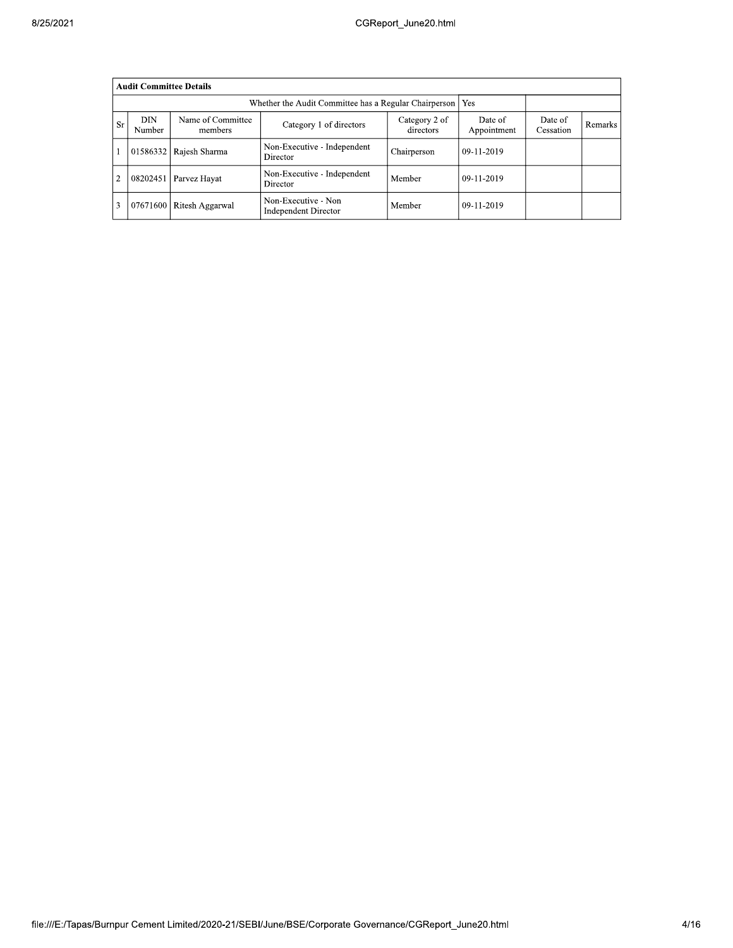|                |               | <b>Audit Committee Details</b> |                                                       |                            |                        |                      |         |
|----------------|---------------|--------------------------------|-------------------------------------------------------|----------------------------|------------------------|----------------------|---------|
|                |               |                                | Whether the Audit Committee has a Regular Chairperson |                            | Yes                    |                      |         |
| <b>Sr</b>      | DIN<br>Number | Name of Committee<br>members   | Category 1 of directors                               | Category 2 of<br>directors | Date of<br>Appointment | Date of<br>Cessation | Remarks |
|                | 01586332      | Rajesh Sharma                  | Non-Executive - Independent<br>Director               | Chairperson                | 09-11-2019             |                      |         |
| $\overline{2}$ | 08202451      | Parvez Hayat                   | Non-Executive - Independent<br>Director               | Member                     | $09-11-2019$           |                      |         |
| 3              | 07671600      | Ritesh Aggarwal                | Non-Executive - Non<br><b>Independent Director</b>    | Member                     | $09-11-2019$           |                      |         |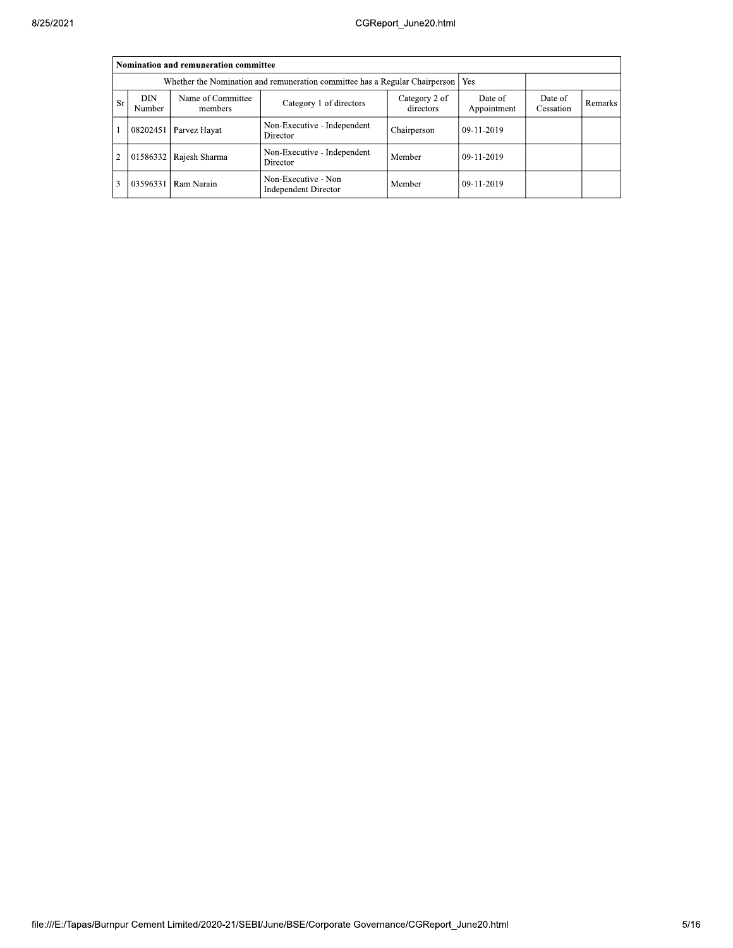|                |               | Nomination and remuneration committee                                             |                                                    |             |              |  |  |
|----------------|---------------|-----------------------------------------------------------------------------------|----------------------------------------------------|-------------|--------------|--|--|
|                |               | Whether the Nomination and remuneration committee has a Regular Chairperson   Yes |                                                    |             |              |  |  |
| <b>Sr</b>      | DIN<br>Number | Date of<br>Appointment                                                            | Date of<br>Cessation                               | Remarks     |              |  |  |
|                | 08202451      | Parvez Hayat                                                                      | Non-Executive - Independent<br>Director            | Chairperson | $09-11-2019$ |  |  |
| $\overline{2}$ | 01586332      | Rajesh Sharma                                                                     | Non-Executive - Independent<br>Director            | Member      | 09-11-2019   |  |  |
|                | 03596331      | Ram Narain                                                                        | Non-Executive - Non<br><b>Independent Director</b> | Member      | 09-11-2019   |  |  |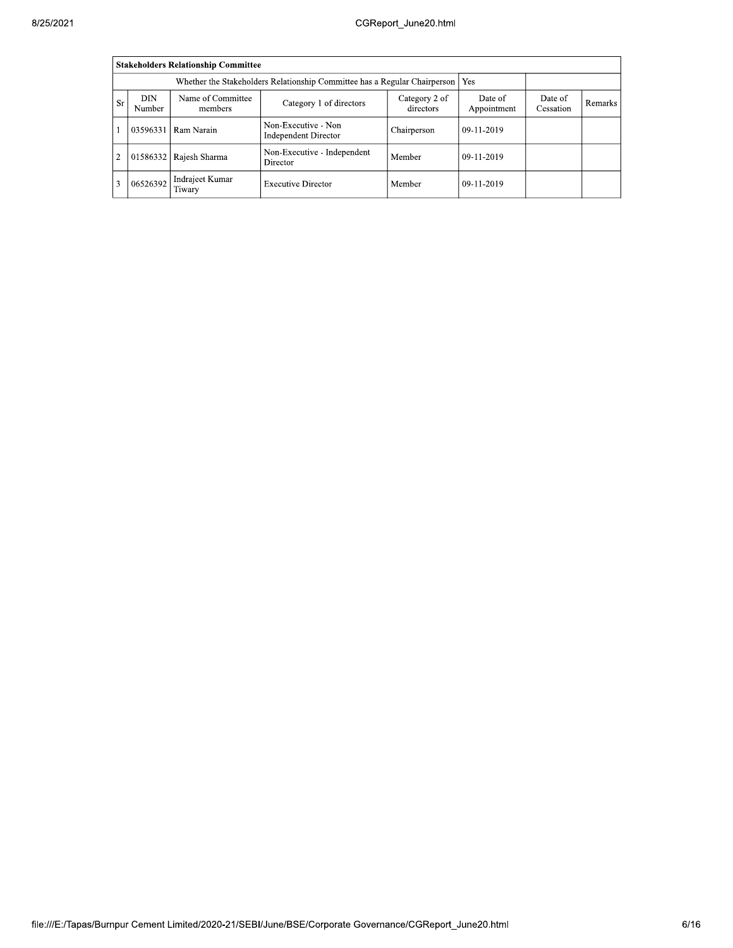| 8/25/2021 |                                                            |                                                                                  |                                            | CGReport June20.html                        |                            |                        |                      |         |
|-----------|------------------------------------------------------------|----------------------------------------------------------------------------------|--------------------------------------------|---------------------------------------------|----------------------------|------------------------|----------------------|---------|
|           |                                                            |                                                                                  | <b>Stakeholders Relationship Committee</b> |                                             |                            |                        |                      |         |
|           |                                                            | Whether the Stakeholders Relationship Committee has a Regular Chairperson<br>Yes |                                            |                                             |                            |                        |                      |         |
|           | Name of Committee<br>DIN<br><b>Sr</b><br>Number<br>members |                                                                                  |                                            | Category 1 of directors                     | Category 2 of<br>directors | Date of<br>Appointment | Date of<br>Cessation | Remarks |
|           |                                                            | 03596331                                                                         | Ram Narain                                 | Non-Executive - Non<br>Independent Director | Chairperson                | 09-11-2019             |                      |         |
|           | $\overline{2}$                                             |                                                                                  | 01586332 Rajesh Sharma                     | Non-Executive - Independent<br>Director     | Member                     | 09-11-2019             |                      |         |
|           | 3                                                          | 06526392                                                                         | Indrajeet Kumar<br>Tiwary                  | <b>Executive Director</b>                   | Member                     | 09-11-2019             |                      |         |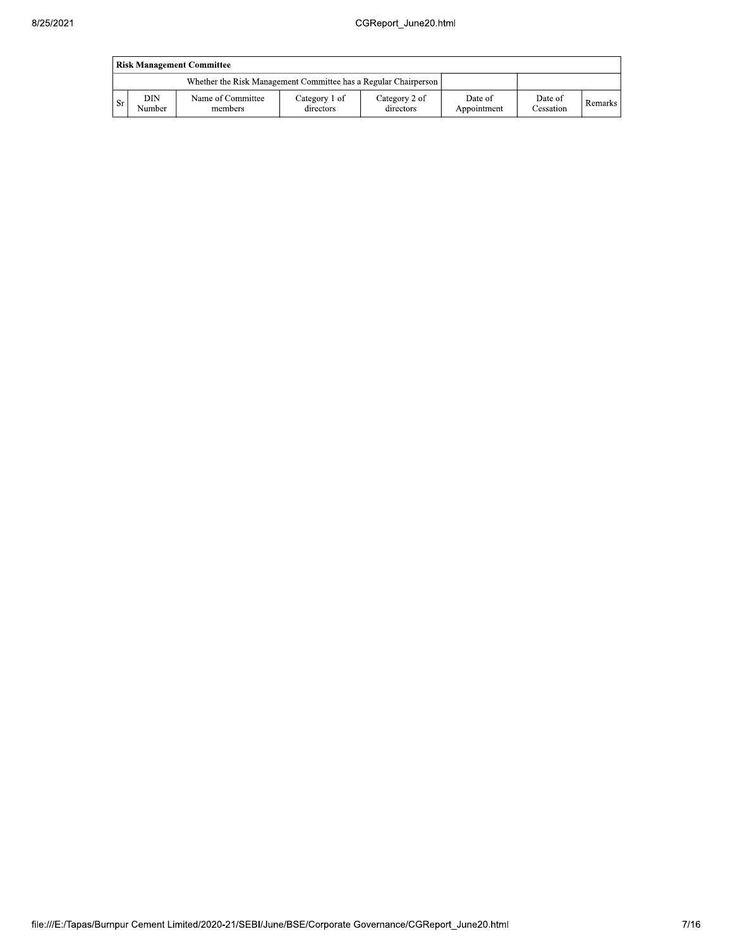|           | <b>Risk Management Committee</b> |                                                                 |                            |                            |                        |                      |           |  |  |  |  |  |
|-----------|----------------------------------|-----------------------------------------------------------------|----------------------------|----------------------------|------------------------|----------------------|-----------|--|--|--|--|--|
|           |                                  | Whether the Risk Management Committee has a Regular Chairperson |                            |                            |                        |                      |           |  |  |  |  |  |
| <b>Sr</b> | DIN<br>Number                    | Name of Committee<br>members                                    | Category 1 of<br>directors | Category 2 of<br>directors | Date of<br>Appointment | Date of<br>Cessation | Remarks I |  |  |  |  |  |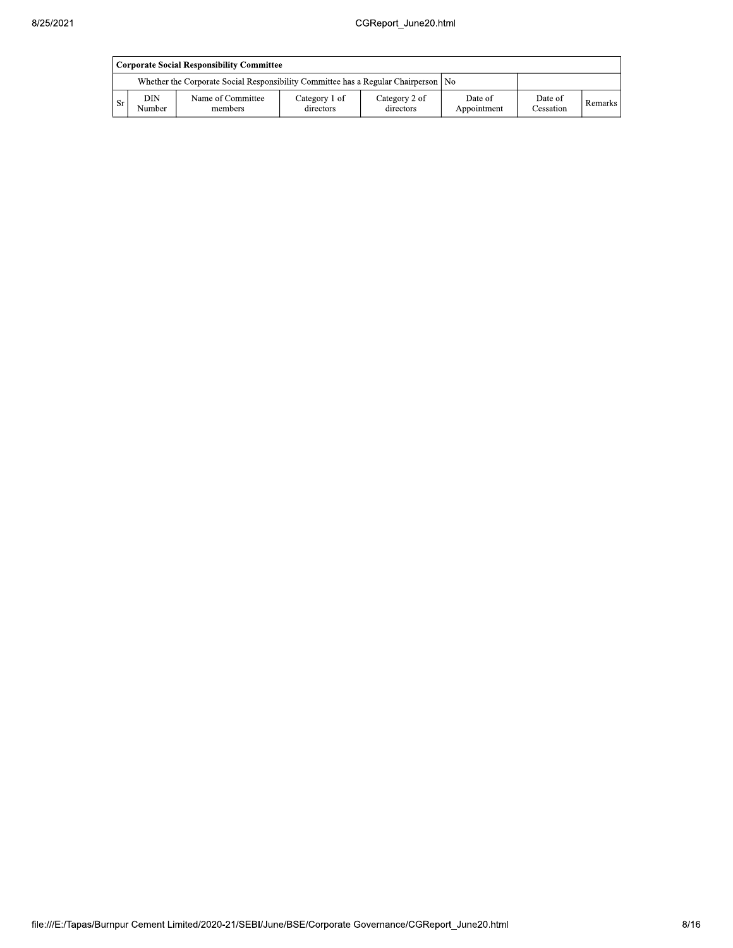| Corporate Social Responsibility Committee |               |                                                                                      |                            |                            |                        |                      |           |  |  |  |  |
|-------------------------------------------|---------------|--------------------------------------------------------------------------------------|----------------------------|----------------------------|------------------------|----------------------|-----------|--|--|--|--|
|                                           |               | Whether the Corporate Social Responsibility Committee has a Regular Chairperson   No |                            |                            |                        |                      |           |  |  |  |  |
| -Sr                                       | DIN<br>Number | Name of Committee<br>members                                                         | Category 1 of<br>directors | Category 2 of<br>directors | Date of<br>Appointment | Date of<br>Cessation | Remarks I |  |  |  |  |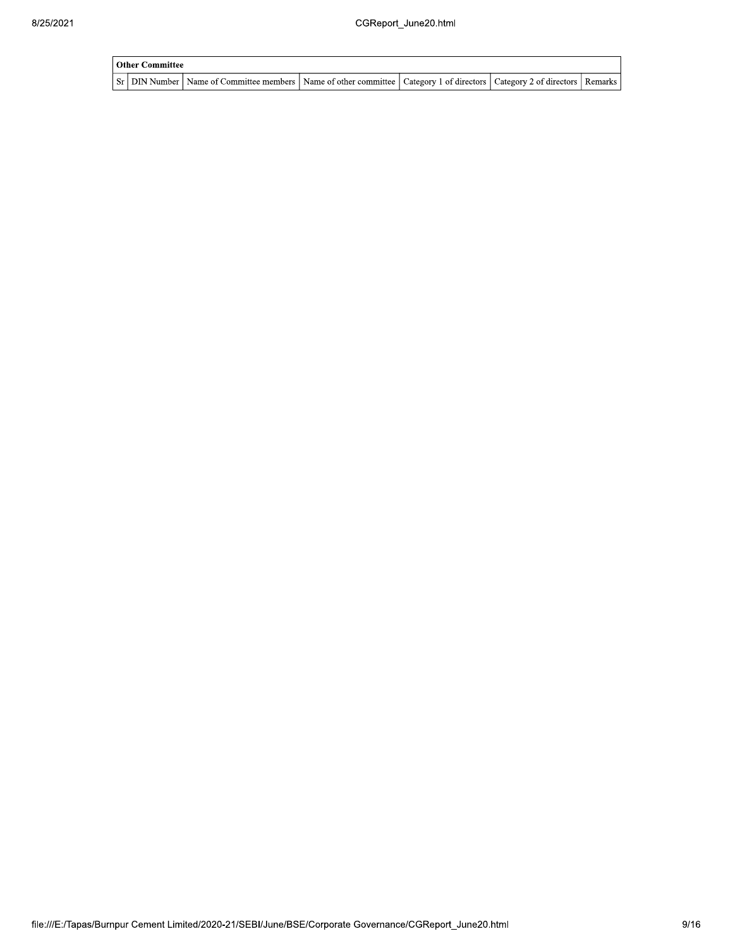| Other Committee |                                                                                                                                     |  |  |  |  |  |  |  |  |
|-----------------|-------------------------------------------------------------------------------------------------------------------------------------|--|--|--|--|--|--|--|--|
|                 | Sr   DIN Number   Name of Committee members   Name of other committee   Category 1 of directors   Category 2 of directors   Remarks |  |  |  |  |  |  |  |  |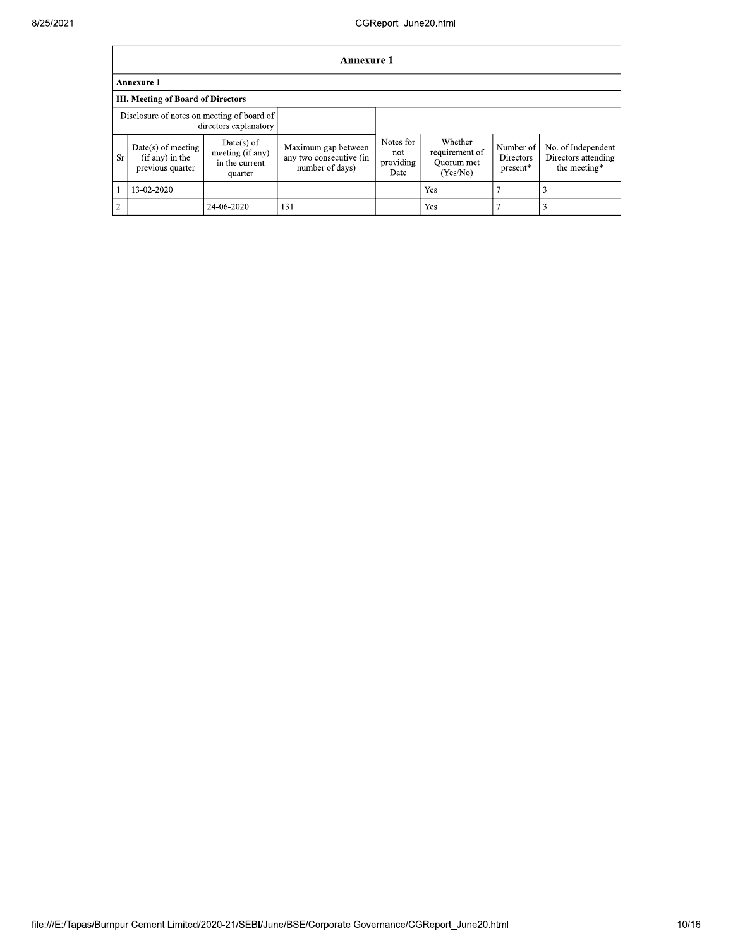|                | <b>Annexure 1</b>                                             |                                                               |                                                                   |                                       |                                                     |                                           |                                                           |  |  |  |  |
|----------------|---------------------------------------------------------------|---------------------------------------------------------------|-------------------------------------------------------------------|---------------------------------------|-----------------------------------------------------|-------------------------------------------|-----------------------------------------------------------|--|--|--|--|
|                | <b>Annexure 1</b>                                             |                                                               |                                                                   |                                       |                                                     |                                           |                                                           |  |  |  |  |
|                | <b>III. Meeting of Board of Directors</b>                     |                                                               |                                                                   |                                       |                                                     |                                           |                                                           |  |  |  |  |
|                | Disclosure of notes on meeting of board of                    | directors explanatory                                         |                                                                   |                                       |                                                     |                                           |                                                           |  |  |  |  |
| <b>Sr</b>      | $Date(s)$ of meeting<br>$(if any)$ in the<br>previous quarter | $Date(s)$ of<br>meeting (if any)<br>in the current<br>quarter | Maximum gap between<br>any two consecutive (in<br>number of days) | Notes for<br>not<br>providing<br>Date | Whether<br>requirement of<br>Ouorum met<br>(Yes/No) | Number of<br><b>Directors</b><br>present* | No. of Independent<br>Directors attending<br>the meeting* |  |  |  |  |
|                | 13-02-2020                                                    |                                                               |                                                                   |                                       | Yes                                                 |                                           | 3                                                         |  |  |  |  |
| $\overline{2}$ |                                                               | 24-06-2020                                                    | 131                                                               |                                       | Yes                                                 |                                           |                                                           |  |  |  |  |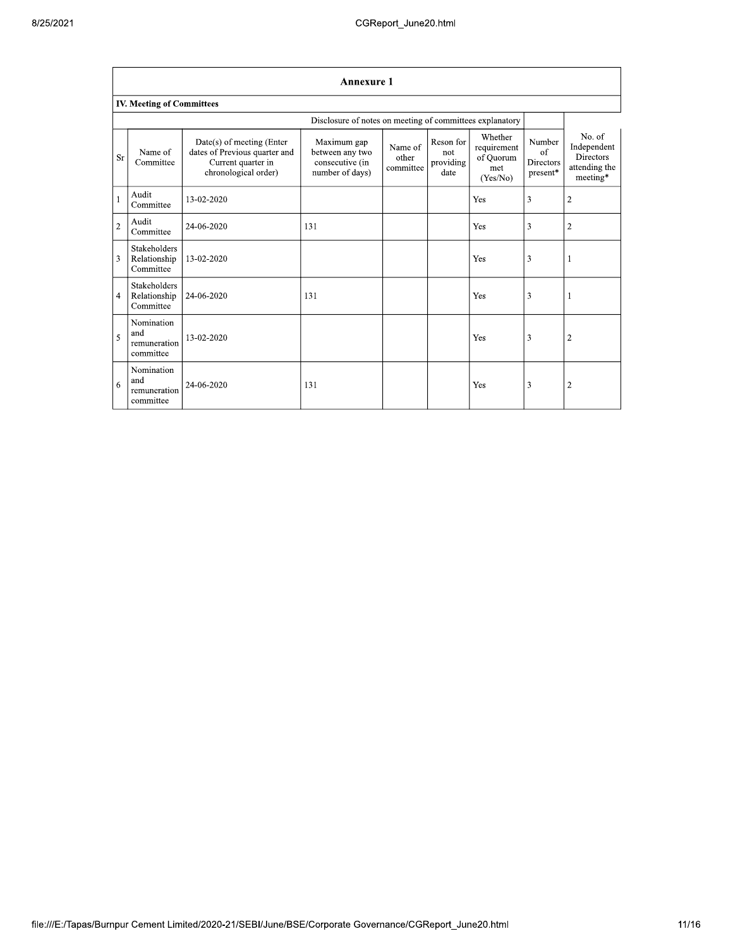|                | <b>Annexure 1</b>                                |                                                                                                          |                                                                      |                               |                                       |                                                        |                                                   |                                                                                |  |  |
|----------------|--------------------------------------------------|----------------------------------------------------------------------------------------------------------|----------------------------------------------------------------------|-------------------------------|---------------------------------------|--------------------------------------------------------|---------------------------------------------------|--------------------------------------------------------------------------------|--|--|
|                | <b>IV. Meeting of Committees</b>                 |                                                                                                          |                                                                      |                               |                                       |                                                        |                                                   |                                                                                |  |  |
|                |                                                  |                                                                                                          | Disclosure of notes on meeting of committees explanatory             |                               |                                       |                                                        |                                                   |                                                                                |  |  |
| Sr             | Name of<br>Committee                             | Date(s) of meeting (Enter<br>dates of Previous quarter and<br>Current quarter in<br>chronological order) | Maximum gap<br>between any two<br>consecutive (in<br>number of days) | Name of<br>other<br>committee | Reson for<br>not<br>providing<br>date | Whether<br>requirement<br>of Quorum<br>met<br>(Yes/No) | Number<br>of<br>Directors<br>$\, {\rm present}^*$ | No. of<br>Independent<br><b>Directors</b><br>attending the<br>$\rm{meeting^*}$ |  |  |
| $\mathbf{1}$   | Audit<br>Committee                               | 13-02-2020                                                                                               |                                                                      |                               |                                       | Yes                                                    | 3                                                 | $\overline{c}$                                                                 |  |  |
| $\overline{c}$ | Audit<br>Committee                               | 24-06-2020                                                                                               | 131                                                                  |                               |                                       | Yes                                                    | 3                                                 | $\overline{2}$                                                                 |  |  |
| 3              | Stakeholders<br>Relationship<br>Committee        | 13-02-2020                                                                                               |                                                                      |                               |                                       | Yes                                                    | 3                                                 | 1                                                                              |  |  |
| 4              | <b>Stakeholders</b><br>Relationship<br>Committee | 24-06-2020                                                                                               | 131                                                                  |                               |                                       | Yes                                                    | 3                                                 | 1                                                                              |  |  |
| 5              | Nomination<br>and<br>remuneration<br>committee   | 13-02-2020                                                                                               |                                                                      |                               |                                       | Yes                                                    | 3                                                 | $\overline{2}$                                                                 |  |  |
| 6              | Nomination<br>and<br>remuneration<br>committee   | 24-06-2020                                                                                               | 131                                                                  |                               |                                       | Yes                                                    | 3                                                 | $\overline{2}$                                                                 |  |  |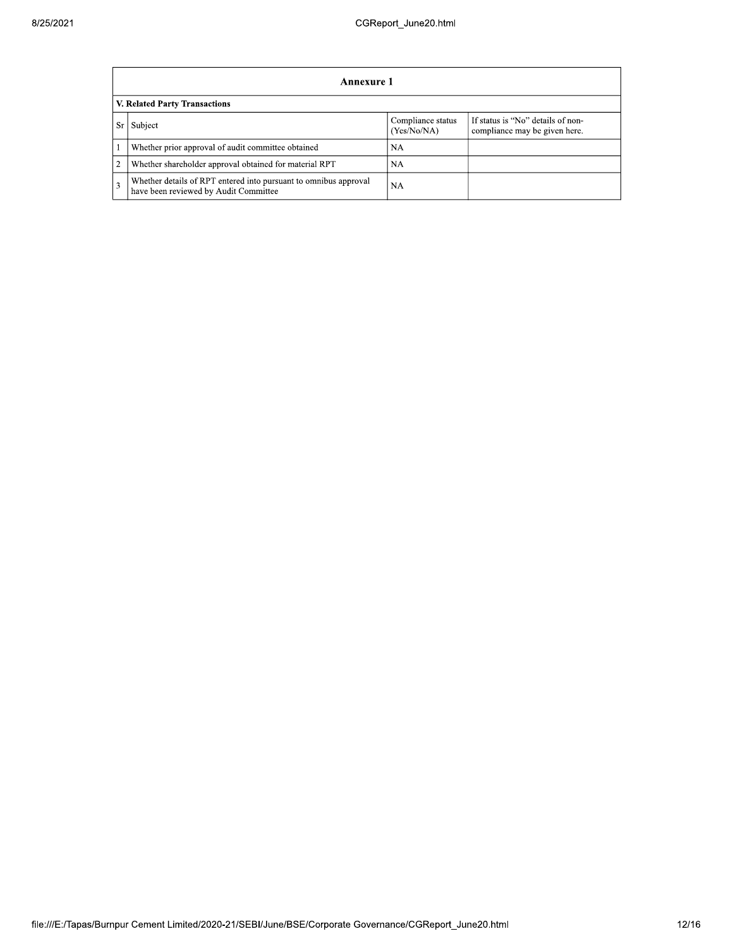|                               | Annexure 1                                                                                                |                                  |                                                                    |  |  |  |
|-------------------------------|-----------------------------------------------------------------------------------------------------------|----------------------------------|--------------------------------------------------------------------|--|--|--|
| V. Related Party Transactions |                                                                                                           |                                  |                                                                    |  |  |  |
| Sr                            | Subject                                                                                                   | Compliance status<br>(Yes/No/NA) | If status is "No" details of non-<br>compliance may be given here. |  |  |  |
|                               | Whether prior approval of audit committee obtained                                                        | NA                               |                                                                    |  |  |  |
| 2                             | Whether shareholder approval obtained for material RPT                                                    | NA                               |                                                                    |  |  |  |
| 3                             | Whether details of RPT entered into pursuant to omnibus approval<br>have been reviewed by Audit Committee | <b>NA</b>                        |                                                                    |  |  |  |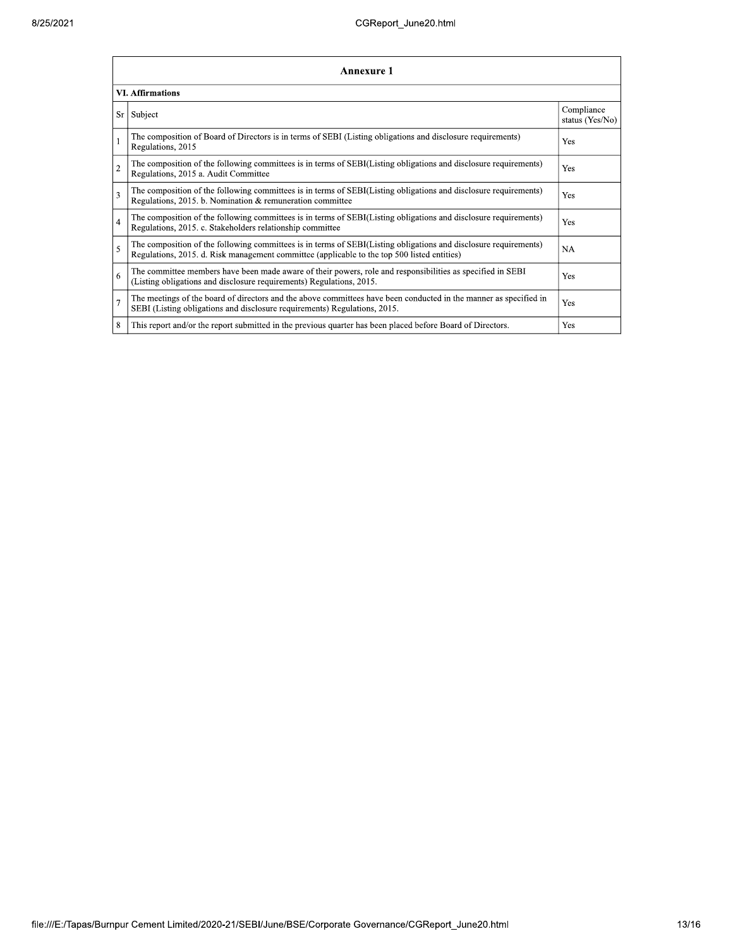|                         | <b>Annexure 1</b>                                                                                                                                                                                               |                               |  |  |  |  |
|-------------------------|-----------------------------------------------------------------------------------------------------------------------------------------------------------------------------------------------------------------|-------------------------------|--|--|--|--|
| <b>VI. Affirmations</b> |                                                                                                                                                                                                                 |                               |  |  |  |  |
| Sr                      | Subject                                                                                                                                                                                                         | Compliance<br>status (Yes/No) |  |  |  |  |
|                         | The composition of Board of Directors is in terms of SEBI (Listing obligations and disclosure requirements)<br>Regulations, 2015                                                                                | Yes                           |  |  |  |  |
| $\overline{2}$          | The composition of the following committees is in terms of SEBI(Listing obligations and disclosure requirements)<br>Regulations, 2015 a. Audit Committee                                                        | Yes                           |  |  |  |  |
| 3                       | The composition of the following committees is in terms of SEBI(Listing obligations and disclosure requirements)<br>Regulations, 2015. b. Nomination & remuneration committee                                   | Yes                           |  |  |  |  |
| $\overline{4}$          | The composition of the following committees is in terms of SEBI(Listing obligations and disclosure requirements)<br>Regulations, 2015. c. Stakeholders relationship committee                                   | Yes                           |  |  |  |  |
| 5                       | The composition of the following committees is in terms of SEBI(Listing obligations and disclosure requirements)<br>Regulations, 2015. d. Risk management committee (applicable to the top 500 listed entities) | <b>NA</b>                     |  |  |  |  |
| 6                       | The committee members have been made aware of their powers, role and responsibilities as specified in SEBI<br>(Listing obligations and disclosure requirements) Regulations, 2015.                              | Yes                           |  |  |  |  |
| $\overline{7}$          | The meetings of the board of directors and the above committees have been conducted in the manner as specified in<br>SEBI (Listing obligations and disclosure requirements) Regulations, 2015.                  | Yes                           |  |  |  |  |
| 8                       | This report and/or the report submitted in the previous quarter has been placed before Board of Directors.                                                                                                      | Yes                           |  |  |  |  |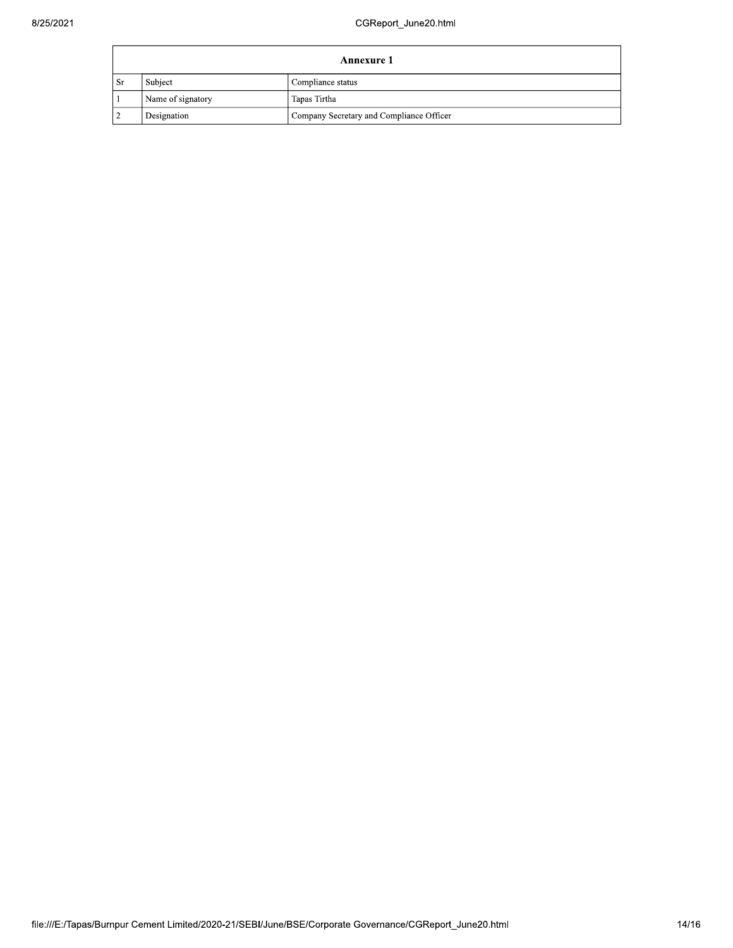| Annexure 1 |                   |                                          |  |  |
|------------|-------------------|------------------------------------------|--|--|
| . Sr       | Subject           | Compliance status                        |  |  |
|            | Name of signatory | Tapas Tirtha                             |  |  |
|            | Designation       | Company Secretary and Compliance Officer |  |  |